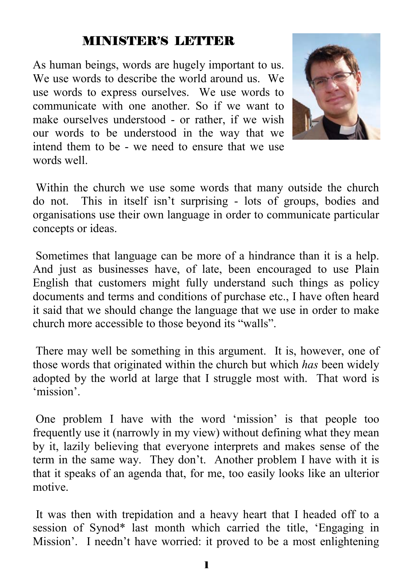# MINISTER'S LETTER

As human beings, words are hugely important to us. We use words to describe the world around us. We use words to express ourselves. We use words to communicate with one another. So if we want to make ourselves understood - or rather, if we wish our words to be understood in the way that we intend them to be - we need to ensure that we use words well.



 Within the church we use some words that many outside the church do not. This in itself isn't surprising - lots of groups, bodies and organisations use their own language in order to communicate particular concepts or ideas.

 Sometimes that language can be more of a hindrance than it is a help. And just as businesses have, of late, been encouraged to use Plain English that customers might fully understand such things as policy documents and terms and conditions of purchase etc., I have often heard it said that we should change the language that we use in order to make church more accessible to those beyond its "walls".

 There may well be something in this argument. It is, however, one of those words that originated within the church but which *has* been widely adopted by the world at large that I struggle most with. That word is 'mission'.

 One problem I have with the word 'mission' is that people too frequently use it (narrowly in my view) without defining what they mean by it, lazily believing that everyone interprets and makes sense of the term in the same way. They don't. Another problem I have with it is that it speaks of an agenda that, for me, too easily looks like an ulterior motive.

 It was then with trepidation and a heavy heart that I headed off to a session of Synod\* last month which carried the title, 'Engaging in Mission'. I needn't have worried: it proved to be a most enlightening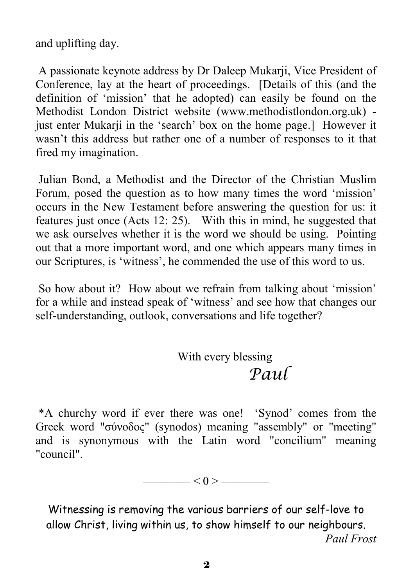and uplifting day.

 A passionate keynote address by Dr Daleep Mukarji, Vice President of Conference, lay at the heart of proceedings. [Details of this (and the definition of 'mission' that he adopted) can easily be found on the Methodist London District website (www.methodistlondon.org.uk) just enter Mukarji in the 'search' box on the home page.] However it wasn't this address but rather one of a number of responses to it that fired my imagination.

 Julian Bond, a Methodist and the Director of the Christian Muslim Forum, posed the question as to how many times the word 'mission' occurs in the New Testament before answering the question for us: it features just once (Acts 12: 25). With this in mind, he suggested that we ask ourselves whether it is the word we should be using. Pointing out that a more important word, and one which appears many times in our Scriptures, is 'witness', he commended the use of this word to us.

 So how about it? How about we refrain from talking about 'mission' for a while and instead speak of 'witness' and see how that changes our self-understanding, outlook, conversations and life together?

> With every blessing *Paul*

 \*A churchy word if ever there was one! 'Synod' comes from the Greek word "σύνοδος" (synodos) meaning "assembly" or "meeting" and is synonymous with the Latin word "concilium" meaning "council".

Witnessing is removing the various barriers of our self-love to allow Christ, living within us, to show himself to our neighbours. *Paul Frost*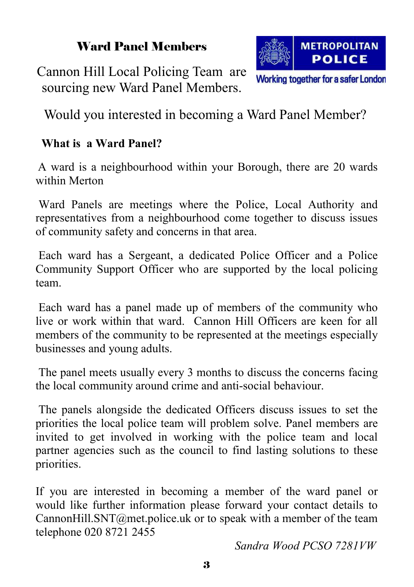# Ward Panel Members

Cannon Hill Local Policing Team are sourcing new Ward Panel Members.

Would you interested in becoming a Ward Panel Member?

## **What is a Ward Panel?**

A ward is a neighbourhood within your Borough, there are 20 wards within Merton

 Ward Panels are meetings where the Police, Local Authority and representatives from a neighbourhood come together to discuss issues of community safety and concerns in that area.

 Each ward has a Sergeant, a dedicated Police Officer and a Police Community Support Officer who are supported by the local policing team.

 Each ward has a panel made up of members of the community who live or work within that ward. Cannon Hill Officers are keen for all members of the community to be represented at the meetings especially businesses and young adults.

 The panel meets usually every 3 months to discuss the concerns facing the local community around crime and anti-social behaviour.

 The panels alongside the dedicated Officers discuss issues to set the priorities the local police team will problem solve. Panel members are invited to get involved in working with the police team and local partner agencies such as the council to find lasting solutions to these priorities.

If you are interested in becoming a member of the ward panel or would like further information please forward your contact details to CannonHill.SNT@met.police.uk or to speak with a member of the team telephone 020 8721 2455

*Sandra Wood PCSO 7281VW*



Working together for a safer London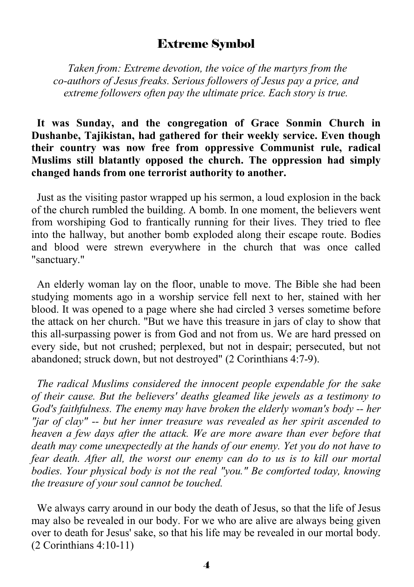#### Extreme Symbol

 *Taken from: Extreme devotion, the voice of the martyrs from the co-authors of Jesus freaks. Serious followers of Jesus pay a price, and extreme followers often pay the ultimate price. Each story is true.* 

#### **It was Sunday, and the congregation of Grace Sonmin Church in Dushanbe, Tajikistan, had gathered for their weekly service. Even though their country was now free from oppressive Communist rule, radical Muslims still blatantly opposed the church. The oppression had simply changed hands from one terrorist authority to another.**

Just as the visiting pastor wrapped up his sermon, a loud explosion in the back of the church rumbled the building. A bomb. In one moment, the believers went from worshiping God to frantically running for their lives. They tried to flee into the hallway, but another bomb exploded along their escape route. Bodies and blood were strewn everywhere in the church that was once called "sanctuary."

 An elderly woman lay on the floor, unable to move. The Bible she had been studying moments ago in a worship service fell next to her, stained with her blood. It was opened to a page where she had circled 3 verses sometime before the attack on her church. "But we have this treasure in jars of clay to show that this all-surpassing power is from God and not from us. We are hard pressed on every side, but not crushed; perplexed, but not in despair; persecuted, but not abandoned; struck down, but not destroyed" (2 Corinthians 4:7-9).

 *The radical Muslims considered the innocent people expendable for the sake of their cause. But the believers' deaths gleamed like jewels as a testimony to God's faithfulness. The enemy may have broken the elderly woman's body -- her "jar of clay" -- but her inner treasure was revealed as her spirit ascended to heaven a few days after the attack. We are more aware than ever before that death may come unexpectedly at the hands of our enemy. Yet you do not have to fear death. After all, the worst our enemy can do to us is to kill our mortal bodies. Your physical body is not the real "you." Be comforted today, knowing the treasure of your soul cannot be touched.* 

We always carry around in our body the death of Jesus, so that the life of Jesus may also be revealed in our body. For we who are alive are always being given over to death for Jesus' sake, so that his life may be revealed in our mortal body. (2 Corinthians 4:10-11)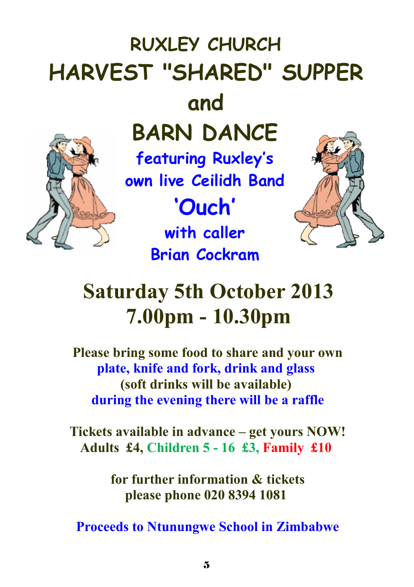# **RUXLEY CHURCH HARVEST "SHARED" SUPPER and BARN DANCE featuring Ruxley's own live Ceilidh Band 'Ouch' with caller**

# **Saturday 5th October 2013 7.00pm - 10.30pm**

**Brian Cockram** 

**Please bring some food to share and your own plate, knife and fork, drink and glass (soft drinks will be available) during the evening there will be a raffle**

**Tickets available in advance – get yours NOW! Adults £4, Children 5 - 16 £3, Family £10** 

> **for further information & tickets please phone 020 8394 1081**

 **Proceeds to Ntunungwe School in Zimbabwe**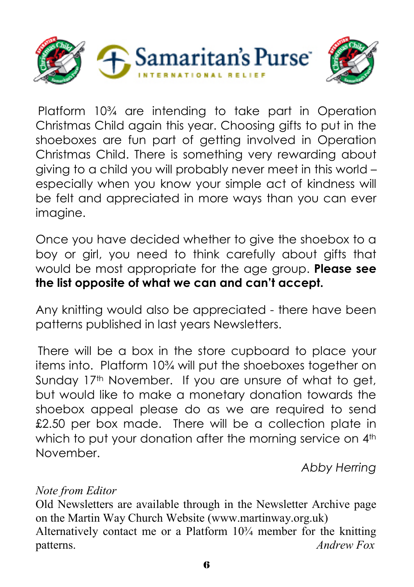



Platform 10¾ are intending to take part in Operation Christmas Child again this year. Choosing gifts to put in the shoeboxes are fun part of getting involved in Operation Christmas Child. There is something very rewarding about giving to a child you will probably never meet in this world – especially when you know your simple act of kindness will be felt and appreciated in more ways than you can ever imagine.

Once you have decided whether to give the shoebox to a boy or girl, you need to think carefully about gifts that would be most appropriate for the age group. **Please see the list opposite of what we can and can't accept.** 

Any knitting would also be appreciated - there have been patterns published in last years Newsletters.

There will be a box in the store cupboard to place your items into. Platform 10¾ will put the shoeboxes together on Sunday 17<sup>th</sup> November. If you are unsure of what to get, but would like to make a monetary donation towards the shoebox appeal please do as we are required to send £2.50 per box made. There will be a collection plate in which to put your donation after the morning service on 4<sup>th</sup> November.

*Abby Herring* 

#### *Note from Editor*

Old Newsletters are available through in the Newsletter Archive page on the Martin Way Church Website (www.martinway.org.uk) Alternatively contact me or a Platform  $10<sup>3</sup>/<sub>4</sub>$  member for the knitting patterns. *Andrew Fox*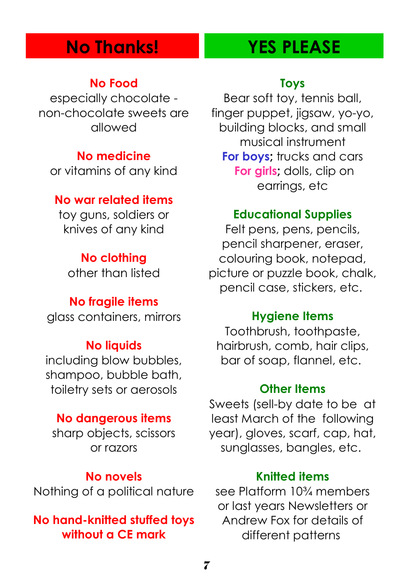# **No Thanks! YES PLEASE**

#### **No Food**

especially chocolate non-chocolate sweets are allowed

#### **No medicine**

or vitamins of any kind

#### **No war related items**

toy guns, soldiers or knives of any kind

## **No clothing**

other than listed

#### **No fragile items**

glass containers, mirrors

#### **No liquids**

including blow bubbles, shampoo, bubble bath, toiletry sets or aerosols

#### **No dangerous items**

sharp objects, scissors or razors

#### **No novels**

Nothing of a political nature

### **No hand-knitted stuffed toys without a CE mark**

#### **Toys**

Bear soft toy, tennis ball, finger puppet, jigsaw, yo-yo, building blocks, and small musical instrument **For boys:** trucks and cars **For girls**; dolls, clip on earrings, etc

#### **Educational Supplies**

Felt pens, pens, pencils, pencil sharpener, eraser, colouring book, notepad, picture or puzzle book, chalk, pencil case, stickers, etc.

#### **Hygiene Items**

Toothbrush, toothpaste, hairbrush, comb, hair clips, bar of soap, flannel, etc.

#### **Other Items**

Sweets (sell-by date to be at least March of the following year), gloves, scarf, cap, hat, sunglasses, bangles, etc.

#### **Knitted items**

see Platform 10¾ members or last years Newsletters or Andrew Fox for details of different patterns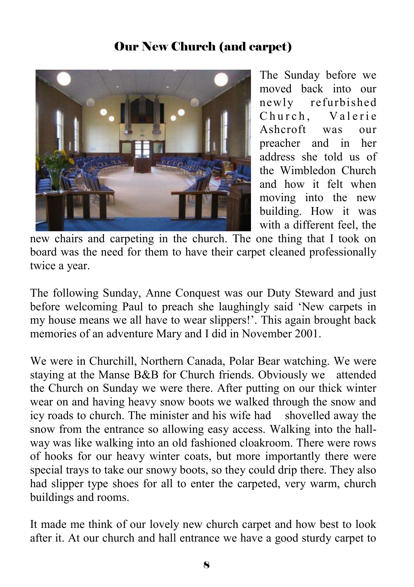# Our New Church (and carpet)



The Sunday before we moved back into our newly refurbished Church, Valerie Ashcroft was our preacher and in her address she told us of the Wimbledon Church and how it felt when moving into the new building. How it was with a different feel, the

new chairs and carpeting in the church. The one thing that I took on board was the need for them to have their carpet cleaned professionally twice a year.

The following Sunday, Anne Conquest was our Duty Steward and just before welcoming Paul to preach she laughingly said 'New carpets in my house means we all have to wear slippers!'. This again brought back memories of an adventure Mary and I did in November 2001.

We were in Churchill, Northern Canada, Polar Bear watching. We were staying at the Manse B&B for Church friends. Obviously we attended the Church on Sunday we were there. After putting on our thick winter wear on and having heavy snow boots we walked through the snow and icy roads to church. The minister and his wife had shovelled away the snow from the entrance so allowing easy access. Walking into the hallway was like walking into an old fashioned cloakroom. There were rows of hooks for our heavy winter coats, but more importantly there were special trays to take our snowy boots, so they could drip there. They also had slipper type shoes for all to enter the carpeted, very warm, church buildings and rooms.

It made me think of our lovely new church carpet and how best to look after it. At our church and hall entrance we have a good sturdy carpet to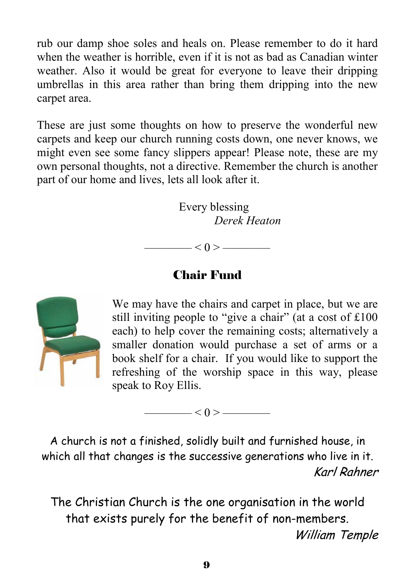rub our damp shoe soles and heals on. Please remember to do it hard when the weather is horrible, even if it is not as bad as Canadian winter weather. Also it would be great for everyone to leave their dripping umbrellas in this area rather than bring them dripping into the new carpet area.

These are just some thoughts on how to preserve the wonderful new carpets and keep our church running costs down, one never knows, we might even see some fancy slippers appear! Please note, these are my own personal thoughts, not a directive. Remember the church is another part of our home and lives, lets all look after it.

> Every blessing  *Derek Heaton*

 $\frac{-1}{0}$  < 0 >  $\frac{-1}{0}$ 

# Chair Fund



We may have the chairs and carpet in place, but we are still inviting people to "give a chair" (at a cost of £100 each) to help cover the remaining costs; alternatively a smaller donation would purchase a set of arms or a book shelf for a chair. If you would like to support the refreshing of the worship space in this way, please speak to Roy Ellis.

 $\leq 0$  >  $\leq$ 

A church is not a finished, solidly built and furnished house, in which all that changes is the successive generations who live in it. Karl Rahner

The Christian Church is the one organisation in the world that exists purely for the benefit of non-members. William Temple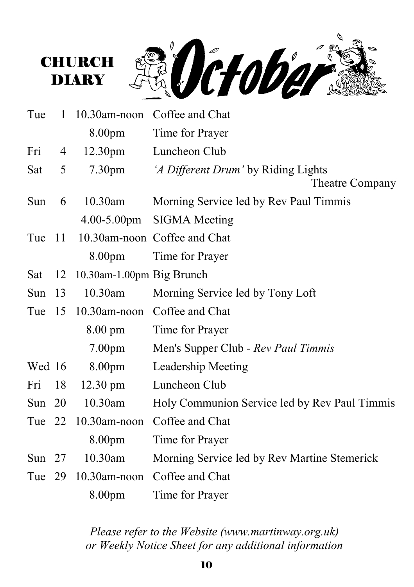

**DIARY** 

| Tue      | 1  | $10.30$ am-noon           | Coffee and Chat                                        |
|----------|----|---------------------------|--------------------------------------------------------|
|          |    | 8.00pm                    | Time for Prayer                                        |
| Fri      | 4  | 12.30 <sub>pm</sub>       | Luncheon Club                                          |
| Sat      | 5  | 7.30 <sub>pm</sub>        | 'A Different Drum' by Riding Lights<br>Theatre Company |
| Sun      | 6  | $10.30$ am                | Morning Service led by Rev Paul Timmis                 |
|          |    |                           | 4.00-5.00pm SIGMA Meeting                              |
| Tue 11   |    |                           | 10.30am-noon Coffee and Chat                           |
|          |    | 8.00pm                    | Time for Prayer                                        |
| Sat      | 12 | 10.30am-1.00pm Big Brunch |                                                        |
| Sun $13$ |    | 10.30am                   | Morning Service led by Tony Loft                       |
| Tue $15$ |    |                           | 10.30am-noon Coffee and Chat                           |
|          |    | $8.00 \text{ pm}$         | Time for Prayer                                        |
|          |    | 7.00 <sub>pm</sub>        | Men's Supper Club - Rev Paul Timmis                    |
| Wed 16   |    | 8.00pm                    | Leadership Meeting                                     |
| Fri      | 18 | $12.30 \text{ pm}$        | Luncheon Club                                          |
| Sun $20$ |    | 10.30am                   | Holy Communion Service led by Rev Paul Timmis          |
|          |    | Tue 22 10.30am-noon       | Coffee and Chat                                        |
|          |    | 8.00pm                    | Time for Prayer                                        |
| Sun $27$ |    | $10.30$ am                | Morning Service led by Rev Martine Stemerick           |
| Tue 29   |    | $10.30$ am-noon           | Coffee and Chat                                        |
|          |    | 8.00pm                    | Time for Prayer                                        |

*Please refer to the Website (www.martinway.org.uk) or Weekly Notice Sheet for any additional information*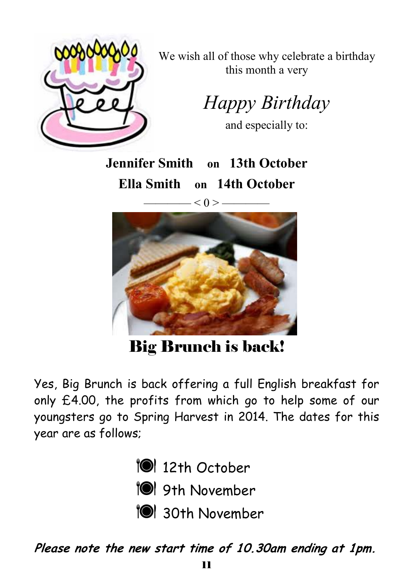

We wish all of those why celebrate a birthday this month a very

*Happy Birthday* 

and especially to:

**Jennifer Smith on 13th October Ella Smith on 14th October** 

—— $< 0 > -$ 



Big Brunch is back!

Yes, Big Brunch is back offering a full English breakfast for only £4.00, the profits from which go to help some of our youngsters go to Spring Harvest in 2014. The dates for this year are as follows;



**10** 9th November

**TO** 30th November

**Please note the new start time of 10.30am ending at 1pm.**